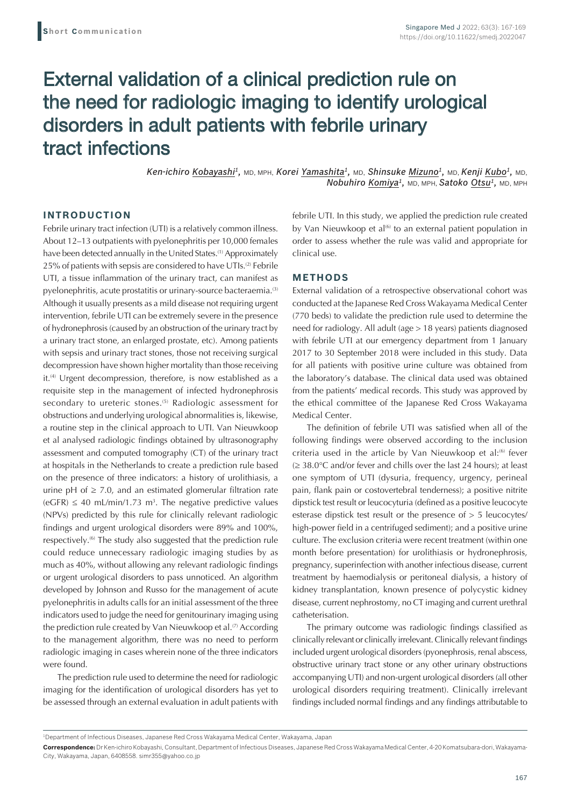# External validation of a clinical prediction rule on the need for radiologic imaging to identify urological disorders in adult patients with febrile urinary tract infections

*Ken-ichiro Kobayashi1,* MD, MPH, *Korei Yamashita1,* MD, *Shinsuke Mizuno1,* MD, *Kenji Kubo1,* MD, *Nobuhiro Komiya1,* MD, MPH, *Satoko Otsu1,* MD, MPH

# **INTRODUCTION**

Febrile urinary tract infection (UTI) is a relatively common illness. About 12–13 outpatients with pyelonephritis per 10,000 females have been detected annually in the United States.<sup>(1)</sup> Approximately 25% of patients with sepsis are considered to have UTIs.<sup>(2)</sup> Febrile UTI, a tissue inflammation of the urinary tract, can manifest as pyelonephritis, acute prostatitis or urinary-source bacteraemia.<sup>(3)</sup> Although it usually presents as a mild disease not requiring urgent intervention, febrile UTI can be extremely severe in the presence of hydronephrosis (caused by an obstruction of the urinary tract by a urinary tract stone, an enlarged prostate, etc). Among patients with sepsis and urinary tract stones, those not receiving surgical decompression have shown higher mortality than those receiving it.<sup>(4)</sup> Urgent decompression, therefore, is now established as a requisite step in the management of infected hydronephrosis secondary to ureteric stones.<sup>(5)</sup> Radiologic assessment for obstructions and underlying urological abnormalities is, likewise, a routine step in the clinical approach to UTI. Van Nieuwkoop et al analysed radiologic findings obtained by ultrasonography assessment and computed tomography (CT) of the urinary tract at hospitals in the Netherlands to create a prediction rule based on the presence of three indicators: a history of urolithiasis, a urine pH of  $\geq$  7.0, and an estimated glomerular filtration rate  $(eGFR) \leq 40$  mL/min/1.73 m<sup>3</sup>. The negative predictive values (NPVs) predicted by this rule for clinically relevant radiologic findings and urgent urological disorders were 89% and 100%, respectively.<sup>(6)</sup> The study also suggested that the prediction rule could reduce unnecessary radiologic imaging studies by as much as 40%, without allowing any relevant radiologic findings or urgent urological disorders to pass unnoticed. An algorithm developed by Johnson and Russo for the management of acute pyelonephritis in adults calls for an initial assessment of the three indicators used to judge the need for genitourinary imaging using the prediction rule created by Van Nieuwkoop et al.<sup>(7)</sup> According to the management algorithm, there was no need to perform radiologic imaging in cases wherein none of the three indicators were found.

The prediction rule used to determine the need for radiologic imaging for the identification of urological disorders has yet to be assessed through an external evaluation in adult patients with febrile UTI. In this study, we applied the prediction rule created by Van Nieuwkoop et al<sup>(6)</sup> to an external patient population in order to assess whether the rule was valid and appropriate for clinical use.

### **METHODS**

External validation of a retrospective observational cohort was conducted at the Japanese Red Cross Wakayama Medical Center (770 beds) to validate the prediction rule used to determine the need for radiology. All adult (age > 18 years) patients diagnosed with febrile UTI at our emergency department from 1 January 2017 to 30 September 2018 were included in this study. Data for all patients with positive urine culture was obtained from the laboratory's database. The clinical data used was obtained from the patients' medical records. This study was approved by the ethical committee of the Japanese Red Cross Wakayama Medical Center.

The definition of febrile UTI was satisfied when all of the following findings were observed according to the inclusion criteria used in the article by Van Nieuwkoop et al:<sup>(6)</sup> fever  $\geq 38.0^{\circ}$ C and/or fever and chills over the last 24 hours); at least one symptom of UTI (dysuria, frequency, urgency, perineal pain, flank pain or costovertebral tenderness); a positive nitrite dipstick test result or leucocyturia (defined as a positive leucocyte esterase dipstick test result or the presence of > 5 leucocytes/ high-power field in a centrifuged sediment); and a positive urine culture. The exclusion criteria were recent treatment (within one month before presentation) for urolithiasis or hydronephrosis, pregnancy, superinfection with another infectious disease, current treatment by haemodialysis or peritoneal dialysis, a history of kidney transplantation, known presence of polycystic kidney disease, current nephrostomy, no CT imaging and current urethral catheterisation.

The primary outcome was radiologic findings classified as clinically relevant or clinically irrelevant. Clinically relevant findings included urgent urological disorders (pyonephrosis, renal abscess, obstructive urinary tract stone or any other urinary obstructions accompanying UTI) and non-urgent urological disorders (all other urological disorders requiring treatment). Clinically irrelevant findings included normal findings and any findings attributable to

<sup>1</sup> Department of Infectious Diseases, Japanese Red Cross Wakayama Medical Center, Wakayama, Japan

**Correspondence:** Dr Ken-ichiro Kobayashi, Consultant, Department of Infectious Diseases, Japanese Red Cross Wakayama Medical Center, 4-20 Komatsubara-dori, Wakayama-City, Wakayama, Japan, 6408558. simr355@yahoo.co.jp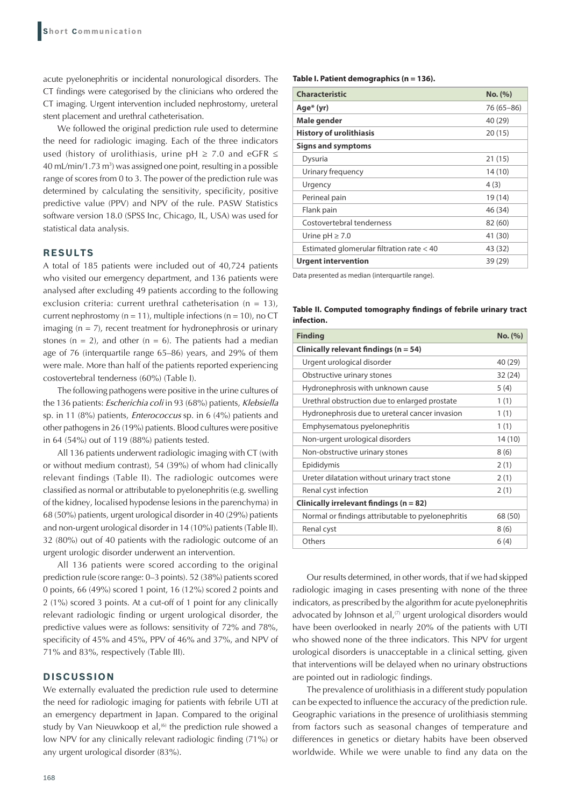acute pyelonephritis or incidental nonurological disorders. The CT findings were categorised by the clinicians who ordered the CT imaging. Urgent intervention included nephrostomy, ureteral stent placement and urethral catheterisation.

We followed the original prediction rule used to determine the need for radiologic imaging. Each of the three indicators used (history of urolithiasis, urine  $pH \ge 7.0$  and eGFR  $\le$ 40 mL/min/1.73 m<sup>3</sup>) was assigned one point, resulting in a possible range of scores from 0 to 3. The power of the prediction rule was determined by calculating the sensitivity, specificity, positive predictive value (PPV) and NPV of the rule. PASW Statistics software version 18.0 (SPSS Inc, Chicago, IL, USA) was used for statistical data analysis.

#### **RESULTS**

A total of 185 patients were included out of 40,724 patients who visited our emergency department, and 136 patients were analysed after excluding 49 patients according to the following exclusion criteria: current urethral catheterisation ( $n = 13$ ), current nephrostomy ( $n = 11$ ), multiple infections ( $n = 10$ ), no CT imaging  $(n = 7)$ , recent treatment for hydronephrosis or urinary stones ( $n = 2$ ), and other ( $n = 6$ ). The patients had a median age of 76 (interquartile range 65–86) years, and 29% of them were male. More than half of the patients reported experiencing costovertebral tenderness (60%) (Table I).

The following pathogens were positive in the urine cultures of the 136 patients: *Escherichia coli* in 93 (68%) patients, *Klebsiella*  sp. in 11 (8%) patients, *Enterococcus* sp. in 6 (4%) patients and other pathogens in 26 (19%) patients. Blood cultures were positive in 64 (54%) out of 119 (88%) patients tested.

All 136 patients underwent radiologic imaging with CT (with or without medium contrast), 54 (39%) of whom had clinically relevant findings (Table II). The radiologic outcomes were classified as normal or attributable to pyelonephritis (e.g. swelling of the kidney, localised hypodense lesions in the parenchyma) in 68 (50%) patients, urgent urological disorder in 40 (29%) patients and non-urgent urological disorder in 14 (10%) patients (Table II). 32 (80%) out of 40 patients with the radiologic outcome of an urgent urologic disorder underwent an intervention.

All 136 patients were scored according to the original prediction rule (score range: 0–3 points). 52 (38%) patients scored 0 points, 66 (49%) scored 1 point, 16 (12%) scored 2 points and 2 (1%) scored 3 points. At a cut-off of 1 point for any clinically relevant radiologic finding or urgent urological disorder, the predictive values were as follows: sensitivity of 72% and 78%, specificity of 45% and 45%, PPV of 46% and 37%, and NPV of 71% and 83%, respectively (Table III).

# **DISCUSSION**

We externally evaluated the prediction rule used to determine the need for radiologic imaging for patients with febrile UTI at an emergency department in Japan. Compared to the original study by Van Nieuwkoop et al,<sup>(6)</sup> the prediction rule showed a low NPV for any clinically relevant radiologic finding (71%) or any urgent urological disorder (83%).

**Table I. Patient demographics (n = 136).**

| <b>Characteristic</b>                     | No. (%)      |
|-------------------------------------------|--------------|
| Age* (yr)                                 | 76 (65 - 86) |
| Male gender                               | 40 (29)      |
| <b>History of urolithiasis</b>            | 20(15)       |
| <b>Signs and symptoms</b>                 |              |
| Dysuria                                   | 21 (15)      |
| Urinary frequency                         | 14 (10)      |
| Urgency                                   | 4 (3)        |
| Perineal pain                             | 19 (14)      |
| Flank pain                                | 46 (34)      |
| Costovertebral tenderness                 | 82 (60)      |
| Urine $pH \ge 7.0$                        | 41 (30)      |
| Estimated glomerular filtration rate < 40 | 43 (32)      |
| Urgent intervention                       | 39 (29)      |

Data presented as median (interquartile range).

**Table II. Computed tomography findings of febrile urinary tract infection.**

| <b>Finding</b>                                    | No. (%) |
|---------------------------------------------------|---------|
| Clinically relevant findings ( $n = 54$ )         |         |
| Urgent urological disorder                        | 40 (29) |
| Obstructive urinary stones                        | 32(24)  |
| Hydronephrosis with unknown cause                 | 5(4)    |
| Urethral obstruction due to enlarged prostate     | 1(1)    |
| Hydronephrosis due to ureteral cancer invasion    | 1(1)    |
| Emphysematous pyelonephritis                      | 1(1)    |
| Non-urgent urological disorders                   | 14(10)  |
| Non-obstructive urinary stones                    | 8(6)    |
| Epididymis                                        | 2(1)    |
| Ureter dilatation without urinary tract stone     | 2(1)    |
| Renal cyst infection                              | 2(1)    |
| Clinically irrelevant findings ( $n = 82$ )       |         |
| Normal or findings attributable to pyelonephritis | 68 (50) |
| Renal cyst                                        | 8(6)    |
| Others                                            | 6(4)    |

Our results determined, in other words, that if we had skipped radiologic imaging in cases presenting with none of the three indicators, as prescribed by the algorithm for acute pyelonephritis advocated by Johnson et al, $(7)$  urgent urological disorders would have been overlooked in nearly 20% of the patients with UTI who showed none of the three indicators. This NPV for urgent urological disorders is unacceptable in a clinical setting, given that interventions will be delayed when no urinary obstructions are pointed out in radiologic findings.

The prevalence of urolithiasis in a different study population can be expected to influence the accuracy of the prediction rule. Geographic variations in the presence of urolithiasis stemming from factors such as seasonal changes of temperature and differences in genetics or dietary habits have been observed worldwide. While we were unable to find any data on the